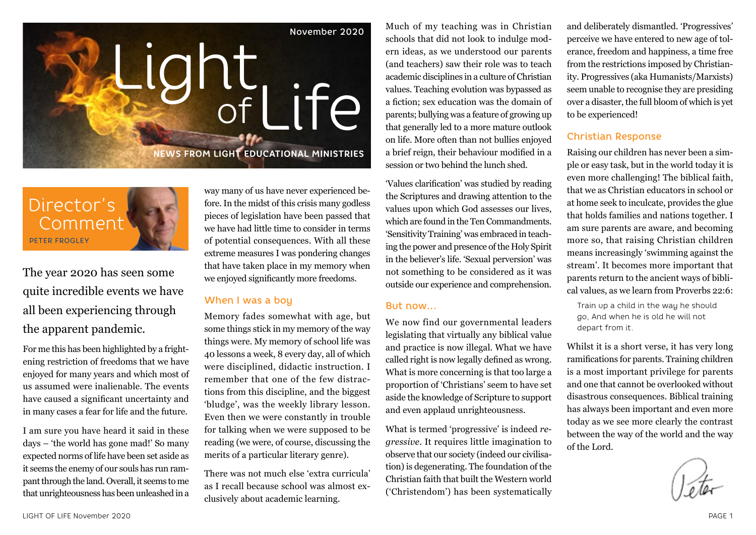



The year 2020 has seen some quite incredible events we have all been experiencing through the apparent pandemic.

For me this has been highlighted by a frightening restriction of freedoms that we have enjoyed for many years and which most of us assumed were inalienable. The events have caused a significant uncertainty and in many cases a fear for life and the future.

I am sure you have heard it said in these days – 'the world has gone mad!' So many expected norms of life have been set aside as it seems the enemy of our souls has run rampant through the land. Overall, it seems to me that unrighteousness has been unleashed in a way many of us have never experienced before. In the midst of this crisis many godless pieces of legislation have been passed that we have had little time to consider in terms of potential consequences. With all these extreme measures I was pondering changes that have taken place in my memory when we enjoyed significantly more freedoms.

## When I was a bou

Memory fades somewhat with age, but some things stick in my memory of the way things were. My memory of school life was 40 lessons a week, 8 every day, all of which were disciplined, didactic instruction. I remember that one of the few distractions from this discipline, and the biggest 'bludge', was the weekly library lesson. Even then we were constantly in trouble for talking when we were supposed to be reading (we were, of course, discussing the merits of a particular literary genre).

There was not much else 'extra curricula' as I recall because school was almost exclusively about academic learning*.*

Much of my teaching was in Christian schools that did not look to indulge modern ideas, as we understood our parents (and teachers) saw their role was to teach academic disciplines in a culture of Christian values. Teaching evolution was bypassed as a fiction; sex education was the domain of parents; bullying was a feature of growing up that generally led to a more mature outlook on life. More often than not bullies enjoyed a brief reign, their behaviour modified in a session or two behind the lunch shed.

'Values clarification' was studied by reading the Scriptures and drawing attention to the values upon which God assesses our lives, which are found in the Ten Commandments. 'Sensitivity Training' was embraced in teaching the power and presence of the Holy Spirit in the believer's life. 'Sexual perversion' was not something to be considered as it was outside our experience and comprehension.

#### But now...

We now find our governmental leaders legislating that virtually any biblical value and practice is now illegal. What we have called right is now legally defined as wrong. What is more concerning is that too large a proportion of 'Christians' seem to have set aside the knowledge of Scripture to support and even applaud unrighteousness.

What is termed 'progressive' is indeed *regressive*. It requires little imagination to observe that our society (indeed our civilisation) is degenerating. The foundation of the Christian faith that built the Western world ('Christendom') has been systematically

and deliberately dismantled. 'Progressives' perceive we have entered to new age of tolerance, freedom and happiness, a time free from the restrictions imposed by Christianity. Progressives (aka Humanists/Marxists) seem unable to recognise they are presiding over a disaster, the full bloom of which is yet to be experienced!

## Christian Response

Raising our children has never been a simple or easy task, but in the world today it is even more challenging! The biblical faith, that we as Christian educators in school or at home seek to inculcate, provides the glue that holds families and nations together. I am sure parents are aware, and becoming more so, that raising Christian children means increasingly 'swimming against the stream'. It becomes more important that parents return to the ancient ways of biblical values, as we learn from Proverbs 22:6:

Train up a child in the way he should go, And when he is old he will not depart from it.

Whilst it is a short verse, it has very long ramifications for parents. Training children is a most important privilege for parents and one that cannot be overlooked without disastrous consequences. Biblical training has always been important and even more today as we see more clearly the contrast between the way of the world and the way of the Lord.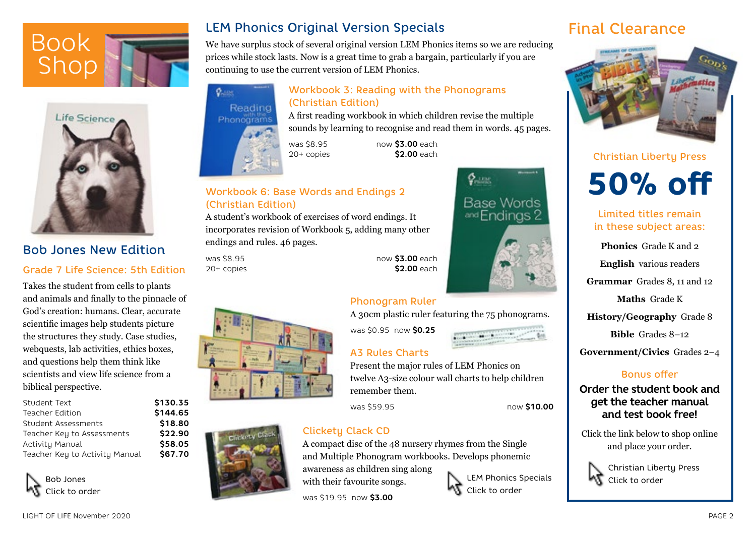



# Bob Jones New Edition

## Grade 7 Life Science: 5th Edition

Takes the student from cells to plants and animals and finally to the pinnacle of God's creation: humans. Clear, accurate scientific images help students picture the structures they study. Case studies, webquests, lab activities, ethics boxes, and questions help them think like scientists and view life science from a biblical perspective.

| Student Text                   | \$130.35 |
|--------------------------------|----------|
| <b>Teacher Edition</b>         | \$144.65 |
| Student Assessments            | \$18.80  |
| Teacher Key to Assessments     | \$22.90  |
| Activity Manual                | \$58.05  |
| Teacher Key to Activity Manual | \$67.70  |



## LEM Phonics Original Version Specials

We have surplus stock of several original version LEM Phonics items so we are reducing prices while stock lasts. Now is a great time to grab a bargain, particularly if you are continuing to use the current version of LEM Phonics.

## Workbook 3: Reading with the Phonograms (Christian Edition) A first reading workbook in which children revise the multiple



 $\sigma$  and

was \$8.95 now **\$3.00** each 20+ copies **\$2.00** each

## Workbook 6: Base Words and Endings 2 (Christian Edition)

A student's workbook of exercises of word endings. It incorporates revision of Workbook 5, adding many other endings and rules. 46 pages.

was \$8.95 now **\$3.00** each 20+ copies **\$2.00** each

## Phonogram Ruler

A 30cm plastic ruler featuring the 75 phonograms.

was \$0.95 now **\$0.25**



LEM Phonics Specials

Click to order

## A3 Rules Charts

Present the major rules of LEM Phonics on twelve A3-size colour wall charts to help children remember them.

## Clickety Clack CD

A compact disc of the 48 nursery rhymes from the Single and Multiple Phonogram workbooks. Develops phonemic

awareness as children sing along with their favourite songs.

was \$19.95 now **\$3.00**







Final Clearance

# Christian Liberty Press 50% off

## Limited titles remain in these subject areas:

**Phonics** Grade K and 2

**English** various readers

**Grammar** Grades 8, 11 and 12

**Maths** Grade K

**History/Geography** Grade 8

**Bible** Grades 8–12

**Government/Civics** Grades 2–4

## Bonus offer

## **Order the student book and get the teacher manual and test book free!**

Click the link below to shop online and place your order.



Christian Liberty Press Click to order



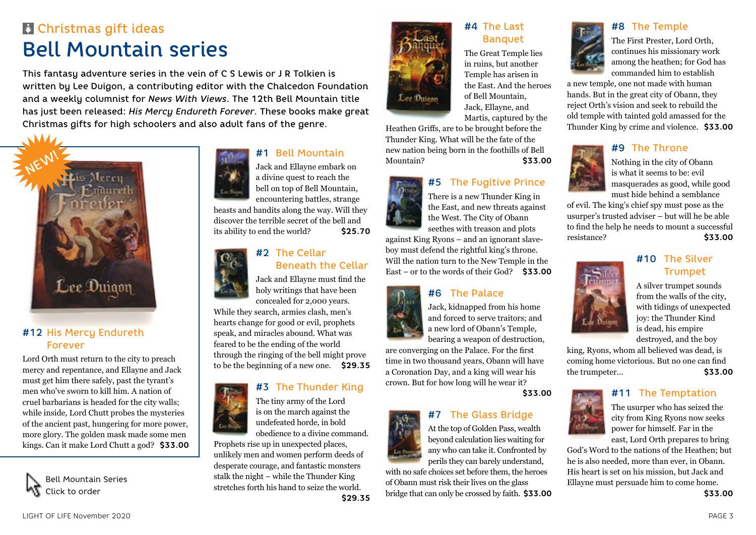# **Exercise Christmas gift ideas** Bell Mountain series

This fantasy adventure series in the vein of C S Lewis or J R Tolkien is written by Lee Duigon, a contributing editor with the Chalcedon Foundation and a weekly columnist for *News With Views*. The 12th Bell Mountain title has just been released: *His Mercy Endureth Forever*. These books make great Christmas gifts for high schoolers and also adult fans of the genre.



## #12 His Mercy Endureth Forever

Lord Orth must return to the city to preach mercy and repentance, and Ellayne and Jack must get him there safely, past the tyrant's men who've sworn to kill him. A nation of cruel barbarians is headed for the city walls; while inside, Lord Chutt probes the mysteries of the ancient past, hungering for more power, more glory. The golden mask made some men kings. Can it make Lord Chutt a god? **\$33.00**





## #1 Bell Mountain

Jack and Ellayne embark on a divine quest to reach the bell on top of Bell Mountain, encountering battles, strange

beasts and bandits along the way. Will they discover the terrible secret of the bell and its ability to end the world? **\$25.70**



#### #2 The Cellar Beneath the Cellar

Jack and Ellayne must find the holy writings that have been concealed for 2,000 years.

While they search, armies clash, men's hearts change for good or evil, prophets speak, and miracles abound. What was feared to be the ending of the world through the ringing of the bell might prove to be the beginning of a new one. **\$29.35**

## #3 The Thunder King

The tiny army of the Lord is on the march against the undefeated horde, in bold

obedience to a divine command. Prophets rise up in unexpected places,

unlikely men and women perform deeds of desperate courage, and fantastic monsters stalk the night – while the Thunder King stretches forth his hand to seize the world. **\$29.35**



## #4 The Last **Banquet**

The Great Temple lies in ruins, but another Temple has arisen in the East. And the heroes of Bell Mountain, Jack, Ellayne, and Martis, captured by the

Heathen Griffs, are to be brought before the Thunder King. What will be the fate of the new nation being born in the foothills of Bell Mountain? **\$33.00**



## #5 The Fugitive Prince

There is a new Thunder King in the East, and new threats against the West. The City of Obann seethes with treason and plots

against King Ryons – and an ignorant slaveboy must defend the rightful king's throne. Will the nation turn to the New Temple in the East – or to the words of their God? **\$33.00**

### #6 The Palace



Jack, kidnapped from his home and forced to serve traitors; and a new lord of Obann's Temple, bearing a weapon of destruction,

are converging on the Palace. For the first time in two thousand years, Obann will have a Coronation Day, and a king will wear his crown. But for how long will he wear it?



## #7 The Glass Bridge

**\$33.00**

At the top of Golden Pass, wealth beyond calculation lies waiting for any who can take it. Confronted by perils they can barely understand,

with no safe choices set before them, the heroes of Obann must risk their lives on the glass bridge that can only be crossed by faith. **\$33.00**



## #8 The Temple

The First Prester, Lord Orth, continues his missionary work among the heathen; for God has commanded him to establish

a new temple, one not made with human hands. But in the great city of Obann, they reject Orth's vision and seek to rebuild the old temple with tainted gold amassed for the Thunder King by crime and violence. **\$33.00**



Nothing in the city of Obann

is what it seems to be: evil masquerades as good, while good must hide behind a semblance

of evil. The king's chief spy must pose as the usurper's trusted adviser – but will he be able to find the help he needs to mount a successful resistance? **\$33.00**



## #10 The Silver Trumpet

A silver trumpet sounds from the walls of the city, with tidings of unexpected joy: the Thunder Kind is dead, his empire destroyed, and the boy

king, Ryons, whom all believed was dead, is coming home victorious. But no one can find the trumpeter... **\$33.00**



### #11 The Temptation

The usurper who has seized the city from King Ryons now seeks power for himself. Far in the east, Lord Orth prepares to bring

God's Word to the nations of the Heathen; but he is also needed, more than ever, in Obann. His heart is set on his mission, but Jack and Ellayne must persuade him to come home.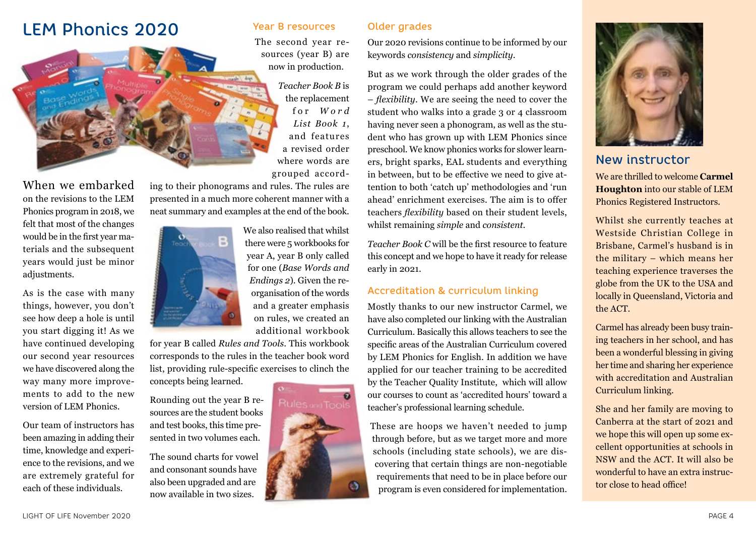## LEM Phonics 2020 Year B resources Older grades



When we embarked on the revisions to the LEM Phonics program in 2018, we felt that most of the changes would be in the first year materials and the subsequent years would just be minor adjustments.

As is the case with many things, however, you don't see how deep a hole is until you start digging it! As we have continued developing our second year resources we have discovered along the way many more improvements to add to the new version of LEM Phonics.

Our team of instructors has been amazing in adding their time, knowledge and experience to the revisions, and we are extremely grateful for each of these individuals.

## Year B resources

The second year resources (year B) are now in production.

> *Teacher Book B* is the replacement for *W o r d List Book 1*, and features a revised order where words are grouped accord-

ing to their phonograms and rules. The rules are presented in a much more coherent manner with a neat summary and examples at the end of the book.



We also realised that whilst there were 5 workbooks for year A, year B only called for one (*Base Words and Endings 2*). Given the reorganisation of the words and a greater emphasis on rules, we created an additional workbook

Rules and Tools

ъ

for year B called *Rules and Tools*. This workbook corresponds to the rules in the teacher book word list, providing rule-specific exercises to clinch the concepts being learned.

Rounding out the year B resources are the student books and test books, this time presented in two volumes each.

The sound charts for vowel and consonant sounds have also been upgraded and are now available in two sizes.

Our 2020 revisions continue to be informed by our keywords *consistency* and *simplicity*.

But as we work through the older grades of the program we could perhaps add another keyword – *flexibility*. We are seeing the need to cover the student who walks into a grade 3 or 4 classroom having never seen a phonogram, as well as the student who has grown up with LEM Phonics since preschool. We know phonics works for slower learners, bright sparks, EAL students and everything in between, but to be effective we need to give attention to both 'catch up' methodologies and 'run ahead' enrichment exercises. The aim is to offer teachers *flexibility* based on their student levels, whilst remaining *simple* and *consistent*.

*Teacher Book C* will be the first resource to feature this concept and we hope to have it ready for release early in 2021.

#### Accreditation & curriculum linking

Mostly thanks to our new instructor Carmel, we have also completed our linking with the Australian Curriculum. Basically this allows teachers to see the specific areas of the Australian Curriculum covered by LEM Phonics for English. In addition we have applied for our teacher training to be accredited by the Teacher Quality Institute, which will allow our courses to count as 'accredited hours' toward a teacher's professional learning schedule.

These are hoops we haven't needed to jump through before, but as we target more and more schools (including state schools), we are discovering that certain things are non-negotiable requirements that need to be in place before our program is even considered for implementation.



## New instructor

We are thrilled to welcome **Carmel Houghton** into our stable of LEM Phonics Registered Instructors.

Whilst she currently teaches at Westside Christian College in Brisbane, Carmel's husband is in the military – which means her teaching experience traverses the globe from the UK to the USA and locally in Queensland, Victoria and the ACT.

Carmel has already been busy training teachers in her school, and has been a wonderful blessing in giving her time and sharing her experience with accreditation and Australian Curriculum linking.

She and her family are moving to Canberra at the start of 2021 and we hope this will open up some excellent opportunities at schools in NSW and the ACT. It will also be wonderful to have an extra instructor close to head office!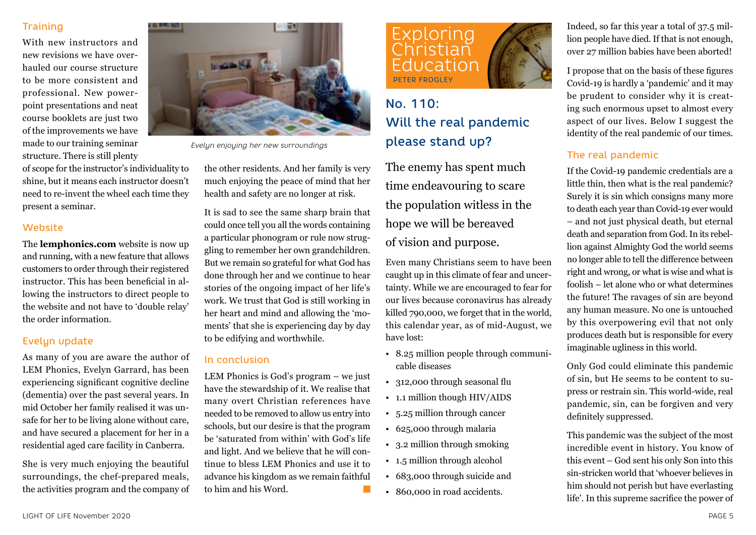## **Training**

With new instructors and new revisions we have overhauled our course structure to be more consistent and professional. New powerpoint presentations and neat course booklets are just two of the improvements we have made to our training seminar structure. There is still plenty

of scope for the instructor's individuality to shine, but it means each instructor doesn't need to re-invent the wheel each time they present a seminar.

#### **Website**

The **lemphonics.com** website is now up and running, with a new feature that allows customers to order through their registered instructor. This has been beneficial in allowing the instructors to direct people to the website and not have to 'double relay' the order information.

#### Evelyn update

As many of you are aware the author of LEM Phonics, Evelyn Garrard, has been experiencing significant cognitive decline (dementia) over the past several years. In mid October her family realised it was unsafe for her to be living alone without care, and have secured a placement for her in a residential aged care facility in Canberra.

She is very much enjoying the beautiful surroundings, the chef-prepared meals, the activities program and the company of



*Evelyn enjoying her new surroundings*

the other residents. And her family is very much enjoying the peace of mind that her health and safety are no longer at risk.

It is sad to see the same sharp brain that could once tell you all the words containing a particular phonogram or rule now struggling to remember her own grandchildren. But we remain so grateful for what God has done through her and we continue to hear stories of the ongoing impact of her life's work. We trust that God is still working in her heart and mind and allowing the 'moments' that she is experiencing day by day to be edifying and worthwhile.

### In conclusion

LEM Phonics is God's program – we just have the stewardship of it. We realise that many overt Christian references have needed to be removed to allow us entry into schools, but our desire is that the program be 'saturated from within' with God's life and light. And we believe that he will continue to bless LEM Phonics and use it to advance his kingdom as we remain faithful to him and his Word.  $\Box$ 



## No. 110: Will the real pandemic please stand up?

The enemy has spent much time endeavouring to scare the population witless in the hope we will be bereaved of vision and purpose.

Even many Christians seem to have been caught up in this climate of fear and uncertainty. While we are encouraged to fear for our lives because coronavirus has already killed 790,000, we forget that in the world, this calendar year, as of mid-August, we have lost:

- 8.25 million people through communicable diseases
- 312,000 through seasonal flu
- 1.1 million though HIV/AIDS
- 5.25 million through cancer
- 625,000 through malaria
- 3.2 million through smoking
- 1.5 million through alcohol
- 683,000 through suicide and
- 860,000 in road accidents.

Indeed, so far this year a total of 37.5 million people have died. If that is not enough, over 27 million babies have been aborted!

I propose that on the basis of these figures Covid-19 is hardly a 'pandemic' and it may be prudent to consider why it is creating such enormous upset to almost every aspect of our lives. Below I suggest the identity of the real pandemic of our times.

## The real pandemic

If the Covid-19 pandemic credentials are a little thin, then what is the real pandemic? Surely it is sin which consigns many more to death each year than Covid-19 ever would – and not just physical death, but eternal death and separation from God. In its rebellion against Almighty God the world seems no longer able to tell the difference between right and wrong, or what is wise and what is foolish – let alone who or what determines the future! The ravages of sin are beyond any human measure. No one is untouched by this overpowering evil that not only produces death but is responsible for every imaginable ugliness in this world.

Only God could eliminate this pandemic of sin, but He seems to be content to supress or restrain sin. This world-wide, real pandemic, sin, can be forgiven and very definitely suppressed.

This pandemic was the subject of the most incredible event in history. You know of this event – God sent his only Son into this sin-stricken world that 'whoever believes in him should not perish but have everlasting life'. In this supreme sacrifice the power of